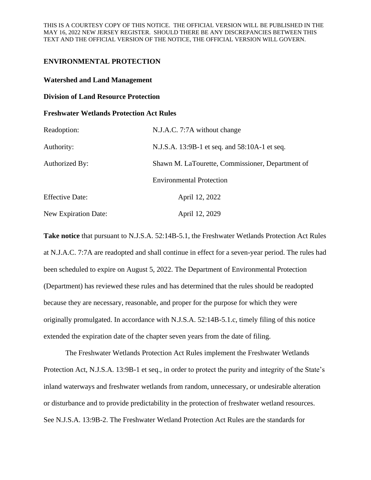# **ENVIRONMENTAL PROTECTION**

## **Watershed and Land Management**

### **Division of Land Resource Protection**

### **Freshwater Wetlands Protection Act Rules**

| Readoption:                 | N.J.A.C. 7:7A without change                     |
|-----------------------------|--------------------------------------------------|
| Authority:                  | N.J.S.A. 13:9B-1 et seq. and 58:10A-1 et seq.    |
| Authorized By:              | Shawn M. LaTourette, Commissioner, Department of |
|                             | <b>Environmental Protection</b>                  |
| <b>Effective Date:</b>      | April 12, 2022                                   |
| <b>New Expiration Date:</b> | April 12, 2029                                   |

**Take notice** that pursuant to N.J.S.A. 52:14B-5.1, the Freshwater Wetlands Protection Act Rules at N.J.A.C. 7:7A are readopted and shall continue in effect for a seven-year period. The rules had been scheduled to expire on August 5, 2022. The Department of Environmental Protection (Department) has reviewed these rules and has determined that the rules should be readopted because they are necessary, reasonable, and proper for the purpose for which they were originally promulgated. In accordance with N.J.S.A. 52:14B-5.1.c, timely filing of this notice extended the expiration date of the chapter seven years from the date of filing.

The Freshwater Wetlands Protection Act Rules implement the Freshwater Wetlands Protection Act, N.J.S.A. 13:9B-1 et seq., in order to protect the purity and integrity of the State's inland waterways and freshwater wetlands from random, unnecessary, or undesirable alteration or disturbance and to provide predictability in the protection of freshwater wetland resources. See N.J.S.A. 13:9B-2. The Freshwater Wetland Protection Act Rules are the standards for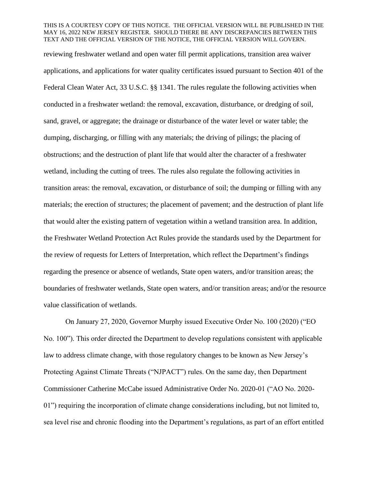#### THIS IS A COURTESY COPY OF THIS NOTICE. THE OFFICIAL VERSION WILL BE PUBLISHED IN THE MAY 16, 2022 NEW JERSEY REGISTER. SHOULD THERE BE ANY DISCREPANCIES BETWEEN THIS TEXT AND THE OFFICIAL VERSION OF THE NOTICE, THE OFFICIAL VERSION WILL GOVERN.

reviewing freshwater wetland and open water fill permit applications, transition area waiver applications, and applications for water quality certificates issued pursuant to Section 401 of the Federal Clean Water Act, 33 U.S.C. §§ 1341. The rules regulate the following activities when conducted in a freshwater wetland: the removal, excavation, disturbance, or dredging of soil, sand, gravel, or aggregate; the drainage or disturbance of the water level or water table; the dumping, discharging, or filling with any materials; the driving of pilings; the placing of obstructions; and the destruction of plant life that would alter the character of a freshwater wetland, including the cutting of trees. The rules also regulate the following activities in transition areas: the removal, excavation, or disturbance of soil; the dumping or filling with any materials; the erection of structures; the placement of pavement; and the destruction of plant life that would alter the existing pattern of vegetation within a wetland transition area. In addition, the Freshwater Wetland Protection Act Rules provide the standards used by the Department for the review of requests for Letters of Interpretation, which reflect the Department's findings regarding the presence or absence of wetlands, State open waters, and/or transition areas; the boundaries of freshwater wetlands, State open waters, and/or transition areas; and/or the resource value classification of wetlands.

On January 27, 2020, Governor Murphy issued Executive Order No. 100 (2020) ("EO No. 100"). This order directed the Department to develop regulations consistent with applicable law to address climate change, with those regulatory changes to be known as New Jersey's Protecting Against Climate Threats ("NJPACT") rules. On the same day, then Department Commissioner Catherine McCabe issued Administrative Order No. 2020-01 ("AO No. 2020- 01") requiring the incorporation of climate change considerations including, but not limited to, sea level rise and chronic flooding into the Department's regulations, as part of an effort entitled